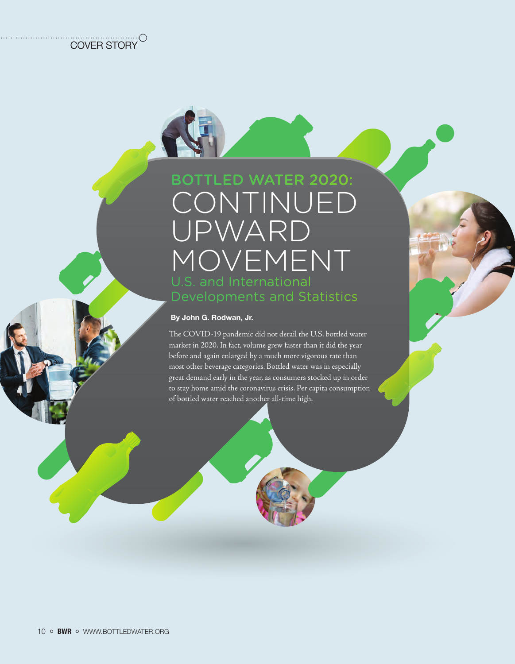# BOTTLED WATER 2020: CONTINUED UPWARD MOVEMENT

#### By John G. Rodwan, Jr.

The COVID-19 pandemic did not derail the U.S. bottled water market in 2020. In fact, volume grew faster than it did the year before and again enlarged by a much more vigorous rate than most other beverage categories. Bottled water was in especially great demand early in the year, as consumers stocked up in order to stay home amid the coronavirus crisis. Per capita consumption of bottled water reached another all-time high.

COVER STORY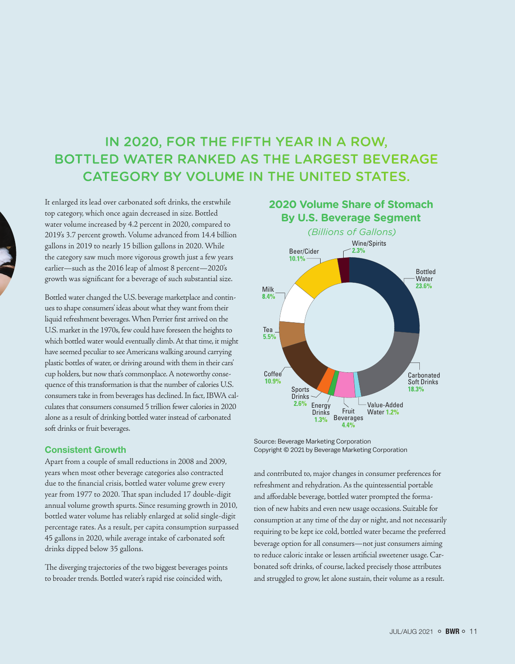## IN 2020, FOR THE FIFTH YEAR IN A ROW, BOTTLED WATER RANKED AS THE LARGEST BEVERAGE CATEGORY BY VOLUME IN THE UNITED STATES.

It enlarged its lead over carbonated soft drinks, the erstwhile top category, which once again decreased in size. Bottled water volume increased by 4.2 percent in 2020, compared to 2019's 3.7 percent growth. Volume advanced from 14.4 billion gallons in 2019 to nearly 15 billion gallons in 2020. While the category saw much more vigorous growth just a few years earlier—such as the 2016 leap of almost 8 percent—2020's growth was significant for a beverage of such substantial size.

Bottled water changed the U.S. beverage marketplace and continues to shape consumers' ideas about what they want from their liquid refreshment beverages. When Perrier first arrived on the U.S. market in the 1970s, few could have foreseen the heights to which bottled water would eventually climb. At that time, it might have seemed peculiar to see Americans walking around carrying plastic bottles of water, or driving around with them in their cars' cup holders, but now that's commonplace. A noteworthy consequence of this transformation is that the number of calories U.S. consumers take in from beverages has declined. In fact, IBWA calculates that consumers consumed 5 trillion fewer calories in 2020 alone as a result of drinking bottled water instead of carbonated soft drinks or fruit beverages.

#### Consistent Growth

Apart from a couple of small reductions in 2008 and 2009, years when most other beverage categories also contracted due to the financial crisis, bottled water volume grew every year from 1977 to 2020. That span included 17 double-digit annual volume growth spurts. Since resuming growth in 2010, bottled water volume has reliably enlarged at solid single-digit percentage rates. As a result, per capita consumption surpassed 45 gallons in 2020, while average intake of carbonated soft drinks dipped below 35 gallons.

The diverging trajectories of the two biggest beverages points to broader trends. Bottled water's rapid rise coincided with,



Source: Beverage Marketing Corporation Copyright © 2021 by Beverage Marketing Corporation

and contributed to, major changes in consumer preferences for refreshment and rehydration. As the quintessential portable and affordable beverage, bottled water prompted the formation of new habits and even new usage occasions. Suitable for consumption at any time of the day or night, and not necessarily requiring to be kept ice cold, bottled water became the preferred beverage option for all consumers—not just consumers aiming to reduce caloric intake or lessen artificial sweetener usage. Carbonated soft drinks, of course, lacked precisely those attributes and struggled to grow, let alone sustain, their volume as a result.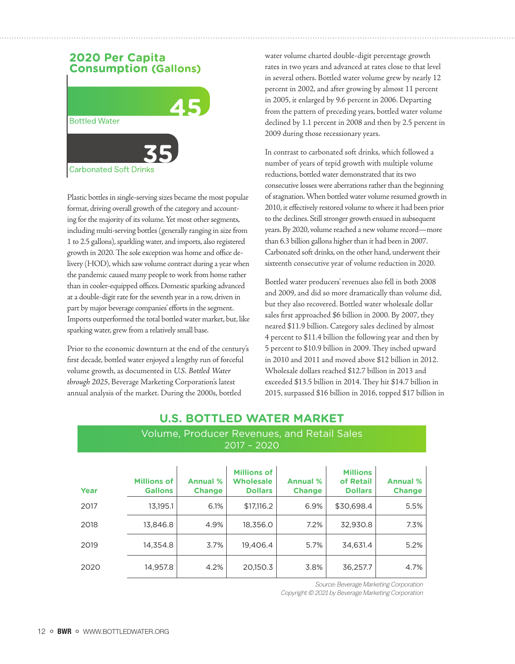## **2020 Per Capita Consumption (Gallons)**



Plastic bottles in single-serving sizes became the most popular format, driving overall growth of the category and accounting for the majority of its volume. Yet most other segments, including multi-serving bottles (generally ranging in size from 1 to 2.5 gallons), sparkling water, and imports, also registered growth in 2020. The sole exception was home and office delivery (HOD), which saw volume contract during a year when the pandemic caused many people to work from home rather than in cooler-equipped offices. Domestic sparking advanced at a double-digit rate for the seventh year in a row, driven in part by major beverage companies' efforts in the segment. Imports outperformed the total bottled water market, but, like sparking water, grew from a relatively small base.

Prior to the economic downturn at the end of the century's first decade, bottled water enjoyed a lengthy run of forceful volume growth, as documented in *U.S. Bottled Water through 2025*, Beverage Marketing Corporation's latest annual analysis of the market. During the 2000s, bottled

water volume charted double-digit percentage growth rates in two years and advanced at rates close to that level in several others. Bottled water volume grew by nearly 12 percent in 2002, and after growing by almost 11 percent in 2005, it enlarged by 9.6 percent in 2006. Departing from the pattern of preceding years, bottled water volume declined by 1.1 percent in 2008 and then by 2.5 percent in 2009 during those recessionary years.

In contrast to carbonated soft drinks, which followed a number of years of tepid growth with multiple volume reductions, bottled water demonstrated that its two consecutive losses were aberrations rather than the beginning of stagnation. When bottled water volume resumed growth in 2010, it effectively restored volume to where it had been prior to the declines. Still stronger growth ensued in subsequent years. By 2020, volume reached a new volume record—more than 6.3 billion gallons higher than it had been in 2007. Carbonated soft drinks, on the other hand, underwent their sixteenth consecutive year of volume reduction in 2020.

Bottled water producers' revenues also fell in both 2008 and 2009, and did so more dramatically than volume did, but they also recovered. Bottled water wholesale dollar sales first approached \$6 billion in 2000. By 2007, they neared \$11.9 billion. Category sales declined by almost 4 percent to \$11.4 billion the following year and then by 5 percent to \$10.9 billion in 2009. They inched upward in 2010 and 2011 and moved above \$12 billion in 2012. Wholesale dollars reached \$12.7 billion in 2013 and exceeded \$13.5 billion in 2014. They hit \$14.7 billion in 2015, surpassed \$16 billion in 2016, topped \$17 billion in

## **U.S. BOTTLED WATER MARKET** Volume, Producer Revenues, and Retail Sales 2017 – 2020

| Year | <b>Millions of</b><br><b>Gallons</b> | <b>Annual %</b><br><b>Change</b> | <b>Millions of</b><br><b>Wholesale</b><br><b>Dollars</b> | <b>Annual %</b><br><b>Change</b> | <b>Millions</b><br>of Retail<br><b>Dollars</b> | <b>Annual %</b><br><b>Change</b> |
|------|--------------------------------------|----------------------------------|----------------------------------------------------------|----------------------------------|------------------------------------------------|----------------------------------|
| 2017 | 13,195.1                             | 6.1%                             | \$17,116.2                                               | 6.9%                             | \$30,698.4                                     | 5.5%                             |
| 2018 | 13,846.8                             | 4.9%                             | 18,356.0                                                 | 7.2%                             | 32.930.8                                       | 7.3%                             |
| 2019 | 14,354.8                             | 3.7%                             | 19,406.4                                                 | 5.7%                             | 34,631.4                                       | 5.2%                             |
| 2020 | 14,957.8                             | 4.2%                             | 20,150.3                                                 | 3.8%                             | 36,257.7                                       | 4.7%                             |

Source: Beverage Marketing Corporation

Copyright © 2021 by Beverage Marketing Corporation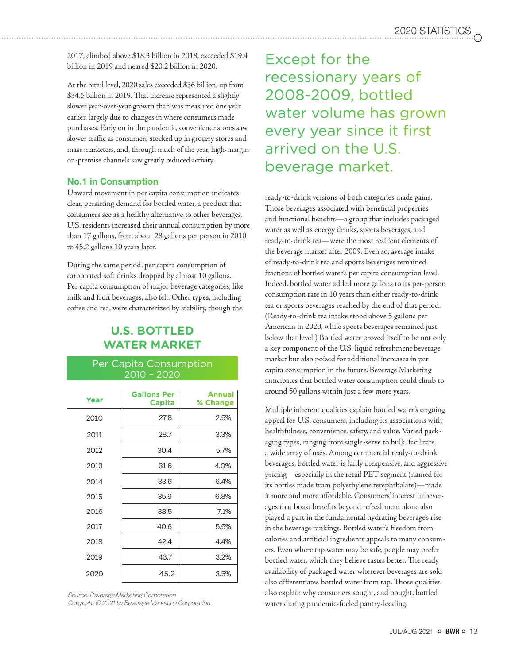2017, climbed above \$18.3 billion in 2018, exceeded \$19.4 billion in 2019 and neared \$20.2 billion in 2020.

At the retail level, 2020 sales exceeded \$36 billion, up from \$34.6 billion in 2019. That increase represented a slightly slower year-over-year growth than was measured one year earlier, largely due to changes in where consumers made purchases. Early on in the pandemic, convenience stores saw slower traffic as consumers stocked up in grocery stores and mass marketers, and, through much of the year, high-margin on-premise channels saw greatly reduced activity.

#### No.1 in Consumption

Upward movement in per capita consumption indicates clear, persisting demand for bottled water, a product that consumers see as a healthy alternative to other beverages. U.S. residents increased their annual consumption by more than 17 gallons, from about 28 gallons per person in 2010 to 45.2 gallons 10 years later.

During the same period, per capita consumption of carbonated soft drinks dropped by almost 10 gallons. Per capita consumption of major beverage categories, like milk and fruit beverages, also fell. Other types, including coffee and tea, were characterized by stability, though the

## **U.S. BOTTLED WATER MARKET**

#### Per Capita Consumption 2010 – 2020

| Year | <b>Gallons Per</b><br>Capita | <b>Annual</b><br>% Change |
|------|------------------------------|---------------------------|
| 2010 | 27.8                         | 2.5%                      |
| 2011 | 28.7                         | 3.3%                      |
| 2012 | 30.4                         | 5.7%                      |
| 2013 | 31.6                         | 4.0%                      |
| 2014 | 33.6                         | 6.4%                      |
| 2015 | 35.9                         | 6.8%                      |
| 2016 | 38.5                         | 7.1%                      |
| 2017 | 40.6                         | 5.5%                      |
| 2018 | 42.4                         | 4.4%                      |
| 2019 | 43.7                         | 3.2%                      |
| 2020 | 45.2                         | 3.5%                      |

Source: Beverage Marketing Corporation Copyright © 2021 by Beverage Marketing Corporation

Except for the recessionary years of 2008-2009, bottled water volume has grown every year since it first arrived on the U.S. beverage market.

ready-to-drink versions of both categories made gains. Those beverages associated with beneficial properties and functional benefits—a group that includes packaged water as well as energy drinks, sports beverages, and ready-to-drink tea—were the most resilient elements of the beverage market after 2009. Even so, average intake of ready-to-drink tea and sports beverages remained fractions of bottled water's per capita consumption level. Indeed, bottled water added more gallons to its per-person consumption rate in 10 years than either ready-to-drink tea or sports beverages reached by the end of that period. (Ready-to-drink tea intake stood above 5 gallons per American in 2020, while sports beverages remained just below that level.) Bottled water proved itself to be not only a key component of the U.S. liquid refreshment beverage market but also poised for additional increases in per capita consumption in the future. Beverage Marketing anticipates that bottled water consumption could climb to around 50 gallons within just a few more years.

Multiple inherent qualities explain bottled water's ongoing appeal for U.S. consumers, including its associations with healthfulness, convenience, safety, and value. Varied packaging types, ranging from single-serve to bulk, facilitate a wide array of uses. Among commercial ready-to-drink beverages, bottled water is fairly inexpensive, and aggressive pricing—especially in the retail PET segment (named for its bottles made from polyethylene terephthalate)—made it more and more affordable. Consumers' interest in beverages that boast benefits beyond refreshment alone also played a part in the fundamental hydrating beverage's rise in the beverage rankings. Bottled water's freedom from calories and artificial ingredients appeals to many consumers. Even where tap water may be safe, people may prefer bottled water, which they believe tastes better. The ready availability of packaged water wherever beverages are sold also differentiates bottled water from tap. Those qualities also explain why consumers sought, and bought, bottled water during pandemic-fueled pantry-loading.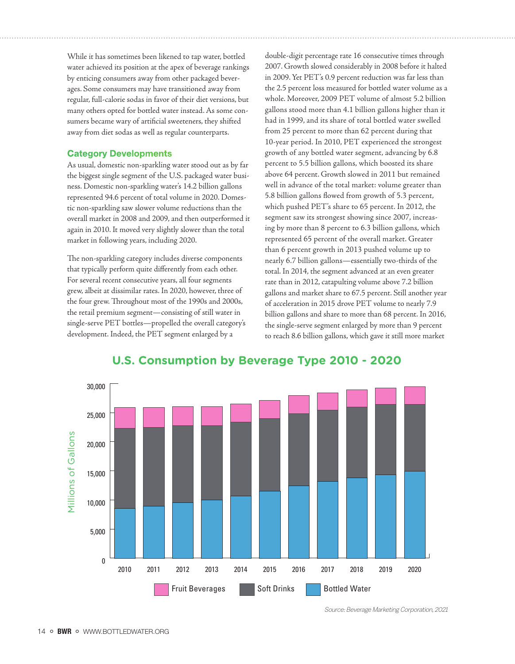While it has sometimes been likened to tap water, bottled water achieved its position at the apex of beverage rankings by enticing consumers away from other packaged beverages. Some consumers may have transitioned away from regular, full-calorie sodas in favor of their diet versions, but many others opted for bottled water instead. As some consumers became wary of artificial sweeteners, they shifted away from diet sodas as well as regular counterparts.

#### Category Developments

As usual, domestic non-sparkling water stood out as by far the biggest single segment of the U.S. packaged water business. Domestic non-sparkling water's 14.2 billion gallons represented 94.6 percent of total volume in 2020. Domestic non-sparkling saw slower volume reductions than the overall market in 2008 and 2009, and then outperformed it again in 2010. It moved very slightly slower than the total market in following years, including 2020.

The non-sparkling category includes diverse components that typically perform quite differently from each other. For several recent consecutive years, all four segments grew, albeit at dissimilar rates. In 2020, however, three of the four grew. Throughout most of the 1990s and 2000s, the retail premium segment—consisting of still water in single-serve PET bottles—propelled the overall category's development. Indeed, the PET segment enlarged by a

double-digit percentage rate 16 consecutive times through 2007. Growth slowed considerably in 2008 before it halted in 2009. Yet PET's 0.9 percent reduction was far less than the 2.5 percent loss measured for bottled water volume as a whole. Moreover, 2009 PET volume of almost 5.2 billion gallons stood more than 4.1 billion gallons higher than it had in 1999, and its share of total bottled water swelled from 25 percent to more than 62 percent during that 10-year period. In 2010, PET experienced the strongest growth of any bottled water segment, advancing by 6.8 percent to 5.5 billion gallons, which boosted its share above 64 percent. Growth slowed in 2011 but remained well in advance of the total market: volume greater than 5.8 billion gallons flowed from growth of 5.3 percent, which pushed PET's share to 65 percent. In 2012, the segment saw its strongest showing since 2007, increasing by more than 8 percent to 6.3 billion gallons, which represented 65 percent of the overall market. Greater than 6 percent growth in 2013 pushed volume up to nearly 6.7 billion gallons—essentially two-thirds of the total. In 2014, the segment advanced at an even greater rate than in 2012, catapulting volume above 7.2 billion gallons and market share to 67.5 percent. Still another year of acceleration in 2015 drove PET volume to nearly 7.9 billion gallons and share to more than 68 percent. In 2016, the single-serve segment enlarged by more than 9 percent to reach 8.6 billion gallons, which gave it still more market



## **U.S. Consumption by Beverage Type 2010 - 2020**

Source: Beverage Marketing Corporation, 2021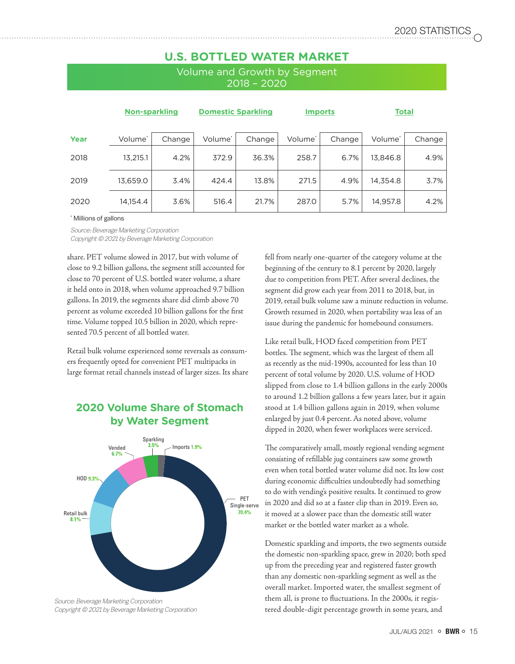## **U.S. BOTTLED WATER MARKET**

Volume and Growth by Segment 2018 – 2020

|      | <b>Non-sparkling</b> |        | <b>Domestic Sparkling</b> |        | <b>Imports</b> |        | <b>Total</b>        |        |
|------|----------------------|--------|---------------------------|--------|----------------|--------|---------------------|--------|
| Year | Volume*              | Change | Volume*                   | Change | Volume*        | Change | Volume <sup>*</sup> | Change |
| 2018 | 13,215.1             | 4.2%   | 372.9                     | 36.3%  | 258.7          | 6.7%   | 13,846.8            | 4.9%   |
| 2019 | 13,659.0             | 3.4%   | 424.4                     | 13.8%  | 271.5          | 4.9%   | 14,354.8            | 3.7%   |
| 2020 | 14,154.4             | 3.6%   | 516.4                     | 21.7%  | 287.0          | 5.7%   | 14,957.8            | 4.2%   |

\* Millions of gallons

Source: Beverage Marketing Corporation Copyright © 2021 by Beverage Marketing Corporation

share. PET volume slowed in 2017, but with volume of close to 9.2 billion gallons, the segment still accounted for close to 70 percent of U.S. bottled water volume, a share it held onto in 2018, when volume approached 9.7 billion gallons. In 2019, the segments share did climb above 70 percent as volume exceeded 10 billion gallons for the first time. Volume topped 10.5 billion in 2020, which represented 70.5 percent of all bottled water.

Retail bulk volume experienced some reversals as consumers frequently opted for convenient PET multipacks in large format retail channels instead of larger sizes. Its share

## **2020 Volume Share of Stomach by Water Segment**



Copyright © 2021 by Beverage Marketing Corporation

fell from nearly one-quarter of the category volume at the beginning of the century to 8.1 percent by 2020, largely due to competition from PET. After several declines, the segment did grow each year from 2011 to 2018, but, in 2019, retail bulk volume saw a minute reduction in volume. Growth resumed in 2020, when portability was less of an issue during the pandemic for homebound consumers.

Like retail bulk, HOD faced competition from PET bottles. The segment, which was the largest of them all as recently as the mid-1990s, accounted for less than 10 percent of total volume by 2020. U.S. volume of HOD slipped from close to 1.4 billion gallons in the early 2000s to around 1.2 billion gallons a few years later, but it again stood at 1.4 billion gallons again in 2019, when volume enlarged by just 0.4 percent. As noted above, volume dipped in 2020, when fewer workplaces were serviced.

The comparatively small, mostly regional vending segment consisting of refillable jug containers saw some growth even when total bottled water volume did not. Its low cost during economic difficulties undoubtedly had something to do with vending's positive results. It continued to grow in 2020 and did so at a faster clip than in 2019. Even so, it moved at a slower pace than the domestic still water market or the bottled water market as a whole.

Domestic sparkling and imports, the two segments outside the domestic non-sparkling space, grew in 2020; both sped up from the preceding year and registered faster growth than any domestic non-sparkling segment as well as the overall market. Imported water, the smallest segment of them all, is prone to fluctuations. In the 2000s, it registered double-digit percentage growth in some years, and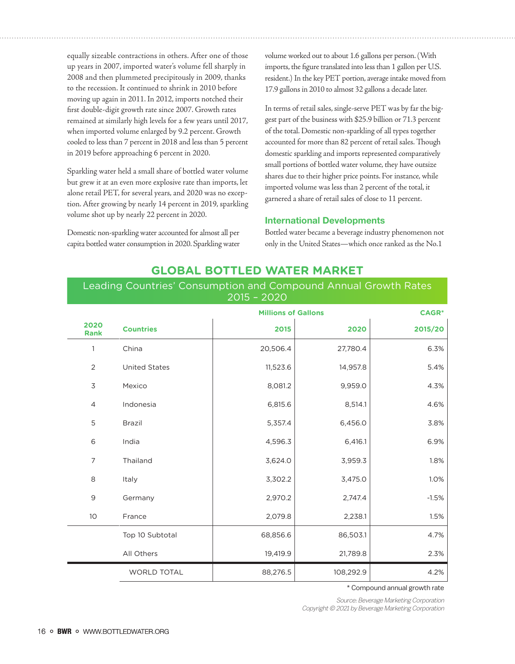equally sizeable contractions in others. After one of those up years in 2007, imported water's volume fell sharply in 2008 and then plummeted precipitously in 2009, thanks to the recession. It continued to shrink in 2010 before moving up again in 2011. In 2012, imports notched their first double-digit growth rate since 2007. Growth rates remained at similarly high levels for a few years until 2017, when imported volume enlarged by 9.2 percent. Growth cooled to less than 7 percent in 2018 and less than 5 percent in 2019 before approaching 6 percent in 2020.

Sparkling water held a small share of bottled water volume but grew it at an even more explosive rate than imports, let alone retail PET, for several years, and 2020 was no exception. After growing by nearly 14 percent in 2019, sparkling volume shot up by nearly 22 percent in 2020.

Domestic non-sparkling water accounted for almost all per capita bottled water consumption in 2020. Sparkling water volume worked out to about 1.6 gallons per person. (With imports, the figure translated into less than 1 gallon per U.S. resident.) In the key PET portion, average intake moved from 17.9 gallons in 2010 to almost 32 gallons a decade later.

In terms of retail sales, single-serve PET was by far the biggest part of the business with \$25.9 billion or 71.3 percent of the total. Domestic non-sparkling of all types together accounted for more than 82 percent of retail sales. Though domestic sparkling and imports represented comparatively small portions of bottled water volume, they have outsize shares due to their higher price points. For instance, while imported volume was less than 2 percent of the total, it garnered a share of retail sales of close to 11 percent.

#### International Developments

Bottled water became a beverage industry phenomenon not only in the United States—which once ranked as the No.1

|                     |                      | <b>Millions of Gallons</b> | <b>CAGR*</b> |         |
|---------------------|----------------------|----------------------------|--------------|---------|
| 2020<br><b>Rank</b> | <b>Countries</b>     | 2015                       | 2020         | 2015/20 |
| $\mathbf{1}$        | China                | 20,506.4                   | 27,780.4     | 6.3%    |
| $\overline{2}$      | <b>United States</b> | 11,523.6                   | 14,957.8     | 5.4%    |
| 3                   | Mexico               | 8,081.2                    | 9,959.0      | 4.3%    |
| $\overline{4}$      | Indonesia            | 6,815.6                    | 8,514.1      | 4.6%    |
| 5                   | <b>Brazil</b>        | 5,357.4                    | 6,456.0      | 3.8%    |
| 6                   | India                | 4,596.3                    | 6,416.1      | 6.9%    |
| $\overline{7}$      | Thailand             | 3,624.0                    | 3,959.3      | 1.8%    |
| 8                   | Italy                | 3,302.2                    | 3,475.0      | 1.0%    |
| 9                   | Germany              | 2,970.2                    | 2,747.4      | $-1.5%$ |
| 10                  | France               | 2,079.8                    | 2,238.1      | 1.5%    |
|                     | Top 10 Subtotal      | 68,856.6                   | 86,503.1     | 4.7%    |
|                     | All Others           | 19,419.9                   | 21,789.8     | 2.3%    |
|                     | <b>WORLD TOTAL</b>   | 88,276.5                   | 108,292.9    | 4.2%    |

#### **GLOBAL BOTTLED WATER MARKET**

### Leading Countries' Consumption and Compound Annual Growth Rates 2015 – 2020

\* Compound annual growth rate

Source: Beverage Marketing Corporation Copyright © 2021 by Beverage Marketing Corporation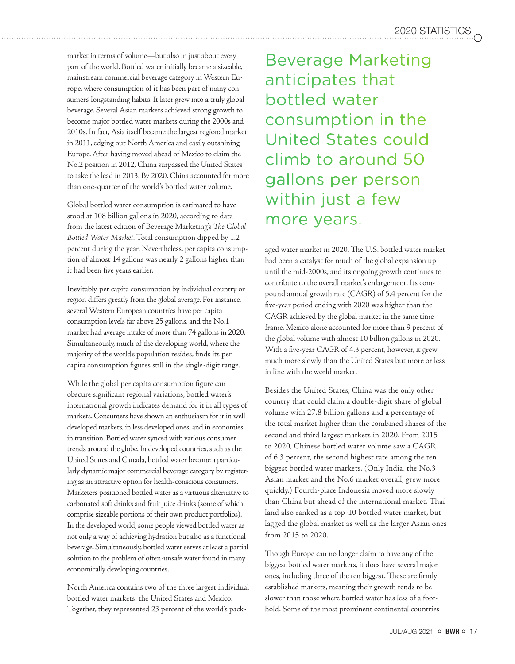market in terms of volume—but also in just about every part of the world. Bottled water initially became a sizeable, mainstream commercial beverage category in Western Europe, where consumption of it has been part of many consumers' longstanding habits. It later grew into a truly global beverage. Several Asian markets achieved strong growth to become major bottled water markets during the 2000s and 2010s. In fact, Asia itself became the largest regional market in 2011, edging out North America and easily outshining Europe. After having moved ahead of Mexico to claim the No.2 position in 2012, China surpassed the United States to take the lead in 2013. By 2020, China accounted for more than one-quarter of the world's bottled water volume.

Global bottled water consumption is estimated to have stood at 108 billion gallons in 2020, according to data from the latest edition of Beverage Marketing's *The Global Bottled Water Market*. Total consumption dipped by 1.2 percent during the year. Nevertheless, per capita consumption of almost 14 gallons was nearly 2 gallons higher than it had been five years earlier.

Inevitably, per capita consumption by individual country or region differs greatly from the global average. For instance, several Western European countries have per capita consumption levels far above 25 gallons, and the No.1 market had average intake of more than 74 gallons in 2020. Simultaneously, much of the developing world, where the majority of the world's population resides, finds its per capita consumption figures still in the single-digit range.

While the global per capita consumption figure can obscure significant regional variations, bottled water's international growth indicates demand for it in all types of markets. Consumers have shown an enthusiasm for it in well developed markets, in less developed ones, and in economies in transition. Bottled water synced with various consumer trends around the globe. In developed countries, such as the United States and Canada, bottled water became a particularly dynamic major commercial beverage category by registering as an attractive option for health-conscious consumers. Marketers positioned bottled water as a virtuous alternative to carbonated soft drinks and fruit juice drinks (some of which comprise sizeable portions of their own product portfolios). In the developed world, some people viewed bottled water as not only a way of achieving hydration but also as a functional beverage. Simultaneously, bottled water serves at least a partial solution to the problem of often-unsafe water found in many economically developing countries.

North America contains two of the three largest individual bottled water markets: the United States and Mexico. Together, they represented 23 percent of the world's pack-

Beverage Marketing anticipates that bottled water consumption in the United States could climb to around 50 gallons per person within just a few more years.

aged water market in 2020. The U.S. bottled water market had been a catalyst for much of the global expansion up until the mid-2000s, and its ongoing growth continues to contribute to the overall market's enlargement. Its compound annual growth rate (CAGR) of 5.4 percent for the five-year period ending with 2020 was higher than the CAGR achieved by the global market in the same timeframe. Mexico alone accounted for more than 9 percent of the global volume with almost 10 billion gallons in 2020. With a five-year CAGR of 4.3 percent, however, it grew much more slowly than the United States but more or less in line with the world market.

Besides the United States, China was the only other country that could claim a double-digit share of global volume with 27.8 billion gallons and a percentage of the total market higher than the combined shares of the second and third largest markets in 2020. From 2015 to 2020, Chinese bottled water volume saw a CAGR of 6.3 percent, the second highest rate among the ten biggest bottled water markets. (Only India, the No.3 Asian market and the No.6 market overall, grew more quickly.) Fourth-place Indonesia moved more slowly than China but ahead of the international market. Thailand also ranked as a top-10 bottled water market, but lagged the global market as well as the larger Asian ones from 2015 to 2020.

Though Europe can no longer claim to have any of the biggest bottled water markets, it does have several major ones, including three of the ten biggest. These are firmly established markets, meaning their growth tends to be slower than those where bottled water has less of a foothold. Some of the most prominent continental countries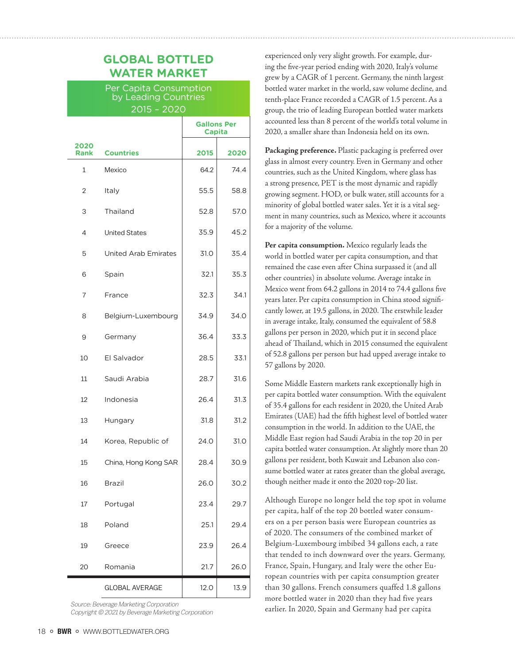## **GLOBAL BOTTLED WATER MARKET**

Per Capita Consumption by Leading Countries 2015 – 2020

|                     |                             | <b>Gallons Per</b><br><b>Capita</b> |      |
|---------------------|-----------------------------|-------------------------------------|------|
| 2020<br><b>Rank</b> | <b>Countries</b>            | 2015                                | 2020 |
| 1                   | Mexico                      | 64.2                                | 74.4 |
| $\overline{2}$      | Italy                       | 55.5                                | 58.8 |
| 3                   | Thailand                    | 52.8                                | 57.0 |
| 4                   | <b>United States</b>        | 35.9                                | 45.2 |
| 5                   | <b>United Arab Emirates</b> | 31.0                                | 35.4 |
| 6                   | Spain                       | 32.1                                | 35.3 |
| 7                   | France                      | 32.3                                | 34.1 |
| 8                   | Belgium-Luxembourg          | 34.9                                | 34.0 |
| 9                   | Germany                     | 36.4                                | 33.3 |
| 10                  | El Salvador                 | 28.5                                | 33.1 |
| 11                  | Saudi Arabia                | 28.7                                | 31.6 |
| 12                  | Indonesia                   | 26.4                                | 31.3 |
| 13                  | Hungary                     | 31.8                                | 31.2 |
| 14                  | Korea, Republic of          | 24.0                                | 31.0 |
| 15                  | China, Hong Kong SAR        | 28.4                                | 30.9 |
| 16                  | <b>Brazil</b>               | 26.0                                | 30.2 |
| 17                  | Portugal                    | 23.4                                | 29.7 |
| 18                  | Poland                      | 25.1                                | 29.4 |
| 19                  | Greece                      | 23.9                                | 26.4 |
| 20                  | Romania                     | 21.7                                | 26.0 |
|                     | <b>GLOBAL AVERAGE</b>       | 12.0                                | 13.9 |

Source: Beverage Marketing Corporation Copyright © 2021 by Beverage Marketing Corporation experienced only very slight growth. For example, during the five-year period ending with 2020, Italy's volume grew by a CAGR of 1 percent. Germany, the ninth largest bottled water market in the world, saw volume decline, and tenth-place France recorded a CAGR of 1.5 percent. As a group, the trio of leading European bottled water markets accounted less than 8 percent of the world's total volume in 2020, a smaller share than Indonesia held on its own.

**Packaging preference.** Plastic packaging is preferred over glass in almost every country. Even in Germany and other countries, such as the United Kingdom, where glass has a strong presence, PET is the most dynamic and rapidly growing segment. HOD, or bulk water, still accounts for a minority of global bottled water sales. Yet it is a vital segment in many countries, such as Mexico, where it accounts for a majority of the volume.

**Per capita consumption.** Mexico regularly leads the world in bottled water per capita consumption, and that remained the case even after China surpassed it (and all other countries) in absolute volume. Average intake in Mexico went from 64.2 gallons in 2014 to 74.4 gallons five years later. Per capita consumption in China stood significantly lower, at 19.5 gallons, in 2020. The erstwhile leader in average intake, Italy, consumed the equivalent of 58.8 gallons per person in 2020, which put it in second place ahead of Thailand, which in 2015 consumed the equivalent of 52.8 gallons per person but had upped average intake to 57 gallons by 2020.

Some Middle Eastern markets rank exceptionally high in per capita bottled water consumption. With the equivalent of 35.4 gallons for each resident in 2020, the United Arab Emirates (UAE) had the fifth highest level of bottled water consumption in the world. In addition to the UAE, the Middle East region had Saudi Arabia in the top 20 in per capita bottled water consumption. At slightly more than 20 gallons per resident, both Kuwait and Lebanon also consume bottled water at rates greater than the global average, though neither made it onto the 2020 top-20 list.

Although Europe no longer held the top spot in volume per capita, half of the top 20 bottled water consumers on a per person basis were European countries as of 2020. The consumers of the combined market of Belgium-Luxembourg imbibed 34 gallons each, a rate that tended to inch downward over the years. Germany, France, Spain, Hungary, and Italy were the other European countries with per capita consumption greater than 30 gallons. French consumers quaffed 1.8 gallons more bottled water in 2020 than they had five years earlier. In 2020, Spain and Germany had per capita